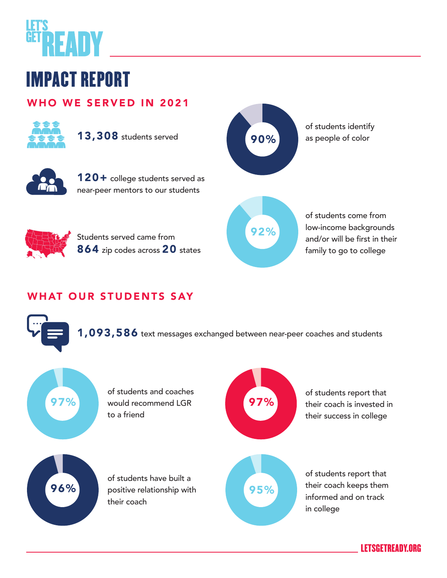

# IMPACT REPORT

### WHO WE SERVED IN 2021



13,308 students served

Students served came from

864 zip codes across 20 states



120+ college students served as near-peer mentors to our students



of students identify as people of color



## WHAT OUR STUDENTS SAY



 $1,093,586$  text messages exchanged between near-peer coaches and students



of students and coaches would recommend LGR to a friend



of students report that their coach is invested in their success in college



of students have built a positive relationship with their coach



of students report that their coach keeps them informed and on track in college